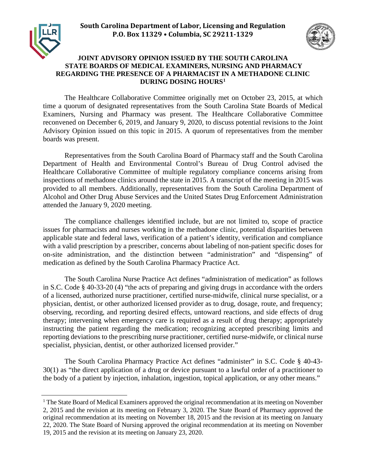



## **JOINT ADVISORY OPINION ISSUED BY THE SOUTH CAROLINA STATE BOARDS OF MEDICAL EXAMINERS, NURSING AND PHARMACY REGARDING THE PRESENCE OF A PHARMACIST IN A METHADONE CLINIC DURING DOSING HOURS[1](#page-0-0)**

The Healthcare Collaborative Committee originally met on October 23, 2015, at which time a quorum of designated representatives from the South Carolina State Boards of Medical Examiners, Nursing and Pharmacy was present. The Healthcare Collaborative Committee reconvened on December 6, 2019, and January 9, 2020, to discuss potential revisions to the Joint Advisory Opinion issued on this topic in 2015. A quorum of representatives from the member boards was present.

Representatives from the South Carolina Board of Pharmacy staff and the South Carolina Department of Health and Environmental Control's Bureau of Drug Control advised the Healthcare Collaborative Committee of multiple regulatory compliance concerns arising from inspections of methadone clinics around the state in 2015. A transcript of the meeting in 2015 was provided to all members. Additionally, representatives from the South Carolina Department of Alcohol and Other Drug Abuse Services and the United States Drug Enforcement Administration attended the January 9, 2020 meeting.

The compliance challenges identified include, but are not limited to, scope of practice issues for pharmacists and nurses working in the methadone clinic, potential disparities between applicable state and federal laws, verification of a patient's identity, verification and compliance with a valid prescription by a prescriber, concerns about labeling of non-patient specific doses for on-site administration, and the distinction between "administration" and "dispensing" of medication as defined by the South Carolina Pharmacy Practice Act.

The South Carolina Nurse Practice Act defines "administration of medication" as follows in S.C. Code § 40-33-20 (4) "the acts of preparing and giving drugs in accordance with the orders of a licensed, authorized nurse practitioner, certified nurse-midwife, clinical nurse specialist, or a physician, dentist, or other authorized licensed provider as to drug, dosage, route, and frequency; observing, recording, and reporting desired effects, untoward reactions, and side effects of drug therapy; intervening when emergency care is required as a result of drug therapy; appropriately instructing the patient regarding the medication; recognizing accepted prescribing limits and reporting deviations to the prescribing nurse practitioner, certified nurse-midwife, or clinical nurse specialist, physician, dentist, or other authorized licensed provider."

The South Carolina Pharmacy Practice Act defines "administer" in S.C. Code § 40-43- 30(1) as "the direct application of a drug or device pursuant to a lawful order of a practitioner to the body of a patient by injection, inhalation, ingestion, topical application, or any other means."

<span id="page-0-0"></span><sup>&</sup>lt;sup>1</sup> The State Board of Medical Examiners approved the original recommendation at its meeting on November 2, 2015 and the revision at its meeting on February 3, 2020. The State Board of Pharmacy approved the original recommendation at its meeting on November 18, 2015 and the revision at its meeting on January 22, 2020. The State Board of Nursing approved the original recommendation at its meeting on November 19, 2015 and the revision at its meeting on January 23, 2020.